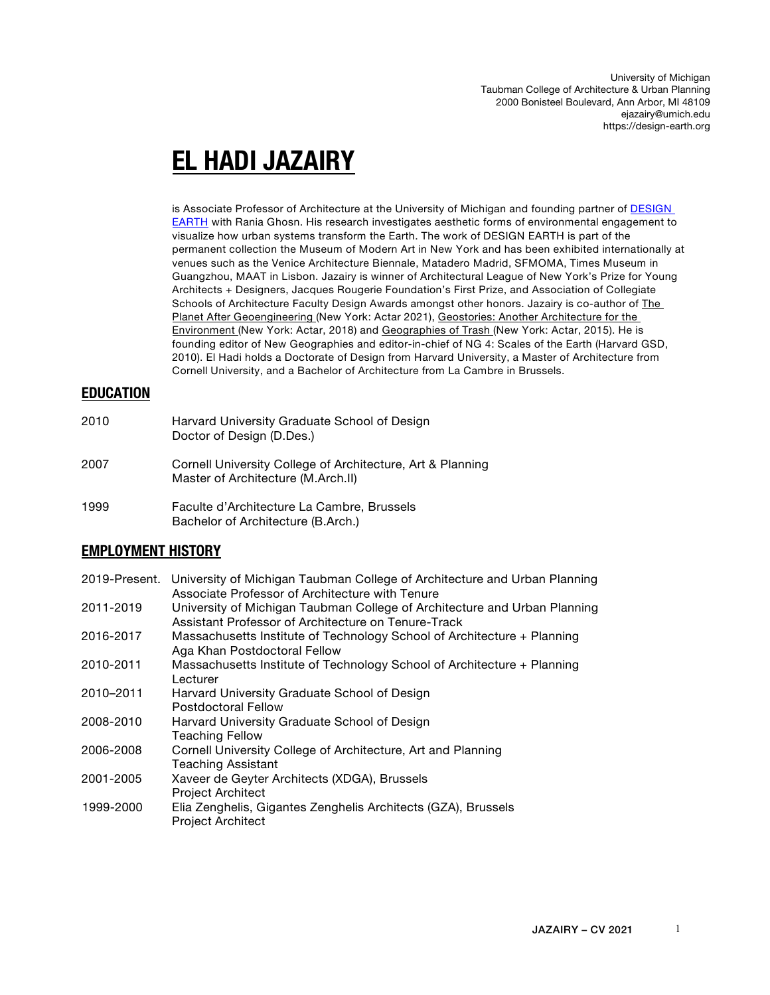University of Michigan Taubman College of Architecture & Urban Planning 2000 Bonisteel Boulevard, Ann Arbor, MI 48109 ejazairy@umich.edu https://design-earth.org

# **EL HADI JAZAIRY**

is Associate Professor of Architecture at the University of Michigan and founding partner of DESIGN EARTH with Rania Ghosn. His research investigates aesthetic forms of environmental engagement to visualize how urban systems transform the Earth. The work of DESIGN EARTH is part of the permanent collection the Museum of Modern Art in New York and has been exhibited internationally at venues such as the Venice Architecture Biennale, Matadero Madrid, SFMOMA, Times Museum in Guangzhou, MAAT in Lisbon. Jazairy is winner of Architectural League of New York's Prize for Young Architects + Designers, Jacques Rougerie Foundation's First Prize, and Association of Collegiate Schools of Architecture Faculty Design Awards amongst other honors. Jazairy is co-author of The Planet After Geoengineering (New York: Actar 2021), Geostories: Another Architecture for the Environment (New York: Actar, 2018) and Geographies of Trash (New York: Actar, 2015). He is founding editor of New Geographies and editor-in-chief of NG 4: Scales of the Earth (Harvard GSD, 2010). El Hadi holds a Doctorate of Design from Harvard University, a Master of Architecture from Cornell University, and a Bachelor of Architecture from La Cambre in Brussels.

## **EDUCATION**

- 2010 Harvard University Graduate School of Design Doctor of Design (D.Des.) 2007 Cornell University College of Architecture, Art & Planning Master of Architecture (M.Arch.II) 1999 Faculte d'Architecture La Cambre, Brussels
	- Bachelor of Architecture (B.Arch.)

## **EMPLOYMENT HISTORY**

| 2019-Present. | University of Michigan Taubman College of Architecture and Urban Planning<br>Associate Professor of Architecture with Tenure     |
|---------------|----------------------------------------------------------------------------------------------------------------------------------|
| 2011-2019     | University of Michigan Taubman College of Architecture and Urban Planning<br>Assistant Professor of Architecture on Tenure-Track |
| 2016-2017     | Massachusetts Institute of Technology School of Architecture + Planning<br>Aga Khan Postdoctoral Fellow                          |
| 2010-2011     | Massachusetts Institute of Technology School of Architecture + Planning<br>Lecturer                                              |
| 2010-2011     | Harvard University Graduate School of Design<br>Postdoctoral Fellow                                                              |
| 2008-2010     | Harvard University Graduate School of Design<br><b>Teaching Fellow</b>                                                           |
| 2006-2008     | Cornell University College of Architecture, Art and Planning<br><b>Teaching Assistant</b>                                        |
| 2001-2005     | Xaveer de Geyter Architects (XDGA), Brussels<br><b>Project Architect</b>                                                         |
| 1999-2000     | Elia Zenghelis, Gigantes Zenghelis Architects (GZA), Brussels<br><b>Project Architect</b>                                        |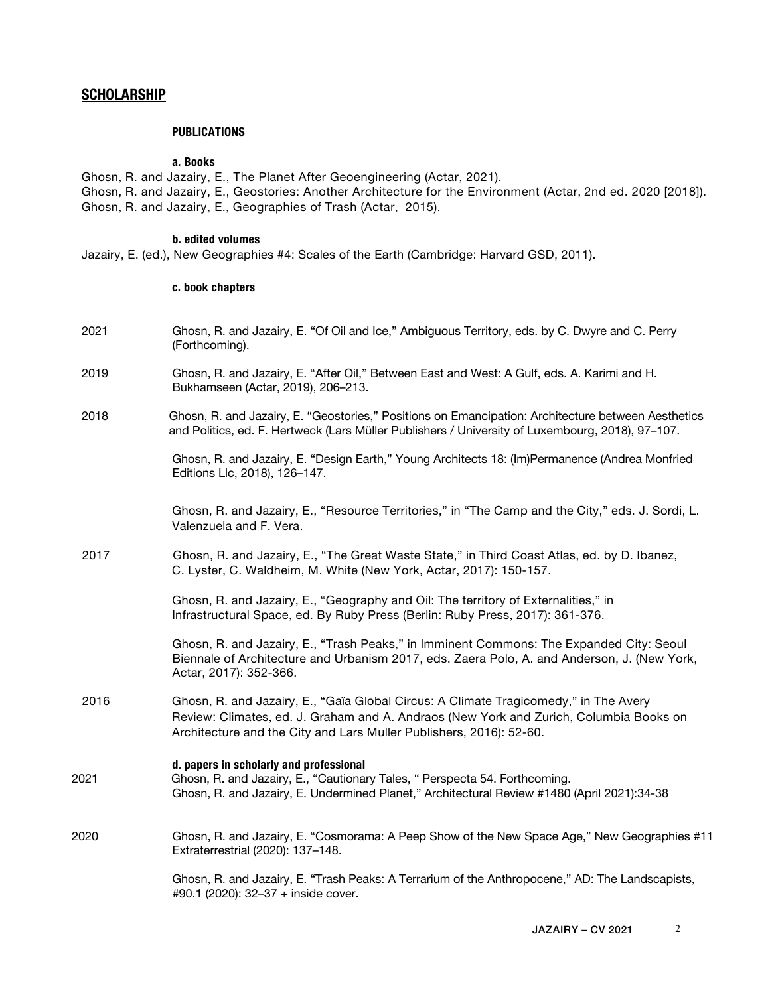## **SCHOLARSHIP**

#### **PUBLICATIONS**

#### **a. Books**

Ghosn, R. and Jazairy, E., The Planet After Geoengineering (Actar, 2021). Ghosn, R. and Jazairy, E., Geostories: Another Architecture for the Environment (Actar, 2nd ed. 2020 [2018]). Ghosn, R. and Jazairy, E., Geographies of Trash (Actar, 2015).

#### **b. edited volumes**

Jazairy, E. (ed.), New Geographies #4: Scales of the Earth (Cambridge: Harvard GSD, 2011).

#### **c. book chapters**

- 2021 Ghosn, R. and Jazairy, E. "Of Oil and Ice," Ambiguous Territory, eds. by C. Dwyre and C. Perry (Forthcoming).
- 2019 Ghosn, R. and Jazairy, E. "After Oil," Between East and West: A Gulf, eds. A. Karimi and H. Bukhamseen (Actar, 2019), 206–213.
- 2018 Ghosn, R. and Jazairy, E. "Geostories," Positions on Emancipation: Architecture between Aesthetics and Politics, ed. F. Hertweck (Lars Müller Publishers / University of Luxembourg, 2018), 97–107.

 Ghosn, R. and Jazairy, E. "Design Earth," Young Architects 18: (Im)Permanence (Andrea Monfried Editions Llc, 2018), 126–147.

Ghosn, R. and Jazairy, E., "Resource Territories," in "The Camp and the City," eds. J. Sordi, L. Valenzuela and F. Vera.

 2017 Ghosn, R. and Jazairy, E., "The Great Waste State," in Third Coast Atlas, ed. by D. Ibanez, C. Lyster, C. Waldheim, M. White (New York, Actar, 2017): 150-157.

> Ghosn, R. and Jazairy, E., "Geography and Oil: The territory of Externalities," in Infrastructural Space, ed. By Ruby Press (Berlin: Ruby Press, 2017): 361-376.

 Ghosn, R. and Jazairy, E., "Trash Peaks," in Imminent Commons: The Expanded City: Seoul Biennale of Architecture and Urbanism 2017, eds. Zaera Polo, A. and Anderson, J. (New York, Actar, 2017): 352-366.

 2016 Ghosn, R. and Jazairy, E., "Gaïa Global Circus: A Climate Tragicomedy," in The Avery Review: Climates, ed. J. Graham and A. Andraos (New York and Zurich, Columbia Books on Architecture and the City and Lars Muller Publishers, 2016): 52-60.

#### **d. papers in scholarly and professional**

- 2021 Ghosn, R. and Jazairy, E., "Cautionary Tales, " Perspecta 54. Forthcoming. Ghosn, R. and Jazairy, E. Undermined Planet," Architectural Review #1480 (April 2021):34-38
- 2020 Ghosn, R. and Jazairy, E. "Cosmorama: A Peep Show of the New Space Age," New Geographies #11 Extraterrestrial (2020): 137–148.

 Ghosn, R. and Jazairy, E. "Trash Peaks: A Terrarium of the Anthropocene," AD: The Landscapists, #90.1 (2020): 32–37 + inside cover.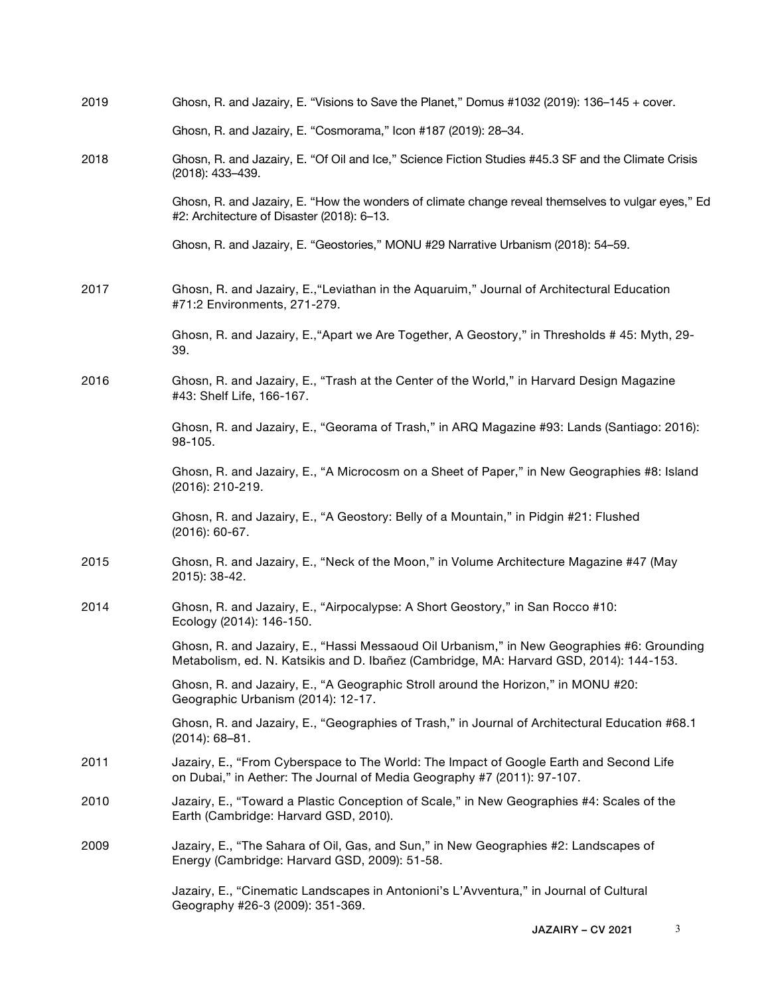| 2019 | Ghosn, R. and Jazairy, E. "Visions to Save the Planet," Domus #1032 (2019): 136–145 + cover.                                                                                         |
|------|--------------------------------------------------------------------------------------------------------------------------------------------------------------------------------------|
|      | Ghosn, R. and Jazairy, E. "Cosmorama," Icon #187 (2019): 28-34.                                                                                                                      |
| 2018 | Ghosn, R. and Jazairy, E. "Of Oil and Ice," Science Fiction Studies #45.3 SF and the Climate Crisis<br>(2018): 433-439.                                                              |
|      | Ghosn, R. and Jazairy, E. "How the wonders of climate change reveal themselves to vulgar eyes," Ed<br>#2: Architecture of Disaster (2018): 6-13.                                     |
|      | Ghosn, R. and Jazairy, E. "Geostories," MONU #29 Narrative Urbanism (2018): 54-59.                                                                                                   |
| 2017 | Ghosn, R. and Jazairy, E., "Leviathan in the Aquaruim," Journal of Architectural Education<br>#71:2 Environments, 271-279.                                                           |
|      | Ghosn, R. and Jazairy, E., "Apart we Are Together, A Geostory," in Thresholds # 45: Myth, 29-<br>39.                                                                                 |
| 2016 | Ghosn, R. and Jazairy, E., "Trash at the Center of the World," in Harvard Design Magazine<br>#43: Shelf Life, 166-167.                                                               |
|      | Ghosn, R. and Jazairy, E., "Georama of Trash," in ARQ Magazine #93: Lands (Santiago: 2016):<br>98-105.                                                                               |
|      | Ghosn, R. and Jazairy, E., "A Microcosm on a Sheet of Paper," in New Geographies #8: Island<br>(2016): 210-219.                                                                      |
|      | Ghosn, R. and Jazairy, E., "A Geostory: Belly of a Mountain," in Pidgin #21: Flushed<br>$(2016): 60-67.$                                                                             |
| 2015 | Ghosn, R. and Jazairy, E., "Neck of the Moon," in Volume Architecture Magazine #47 (May<br>2015): 38-42.                                                                             |
| 2014 | Ghosn, R. and Jazairy, E., "Airpocalypse: A Short Geostory," in San Rocco #10:<br>Ecology (2014): 146-150.                                                                           |
|      | Ghosn, R. and Jazairy, E., "Hassi Messaoud Oil Urbanism," in New Geographies #6: Grounding<br>Metabolism, ed. N. Katsikis and D. Ibañez (Cambridge, MA: Harvard GSD, 2014): 144-153. |
|      | Ghosn, R. and Jazairy, E., "A Geographic Stroll around the Horizon," in MONU #20:<br>Geographic Urbanism (2014): 12-17.                                                              |
|      | Ghosn, R. and Jazairy, E., "Geographies of Trash," in Journal of Architectural Education #68.1<br>$(2014): 68 - 81.$                                                                 |
| 2011 | Jazairy, E., "From Cyberspace to The World: The Impact of Google Earth and Second Life<br>on Dubai," in Aether: The Journal of Media Geography #7 (2011): 97-107.                    |
| 2010 | Jazairy, E., "Toward a Plastic Conception of Scale," in New Geographies #4: Scales of the<br>Earth (Cambridge: Harvard GSD, 2010).                                                   |
| 2009 | Jazairy, E., "The Sahara of Oil, Gas, and Sun," in New Geographies #2: Landscapes of<br>Energy (Cambridge: Harvard GSD, 2009): 51-58.                                                |
|      | Jazairy, E., "Cinematic Landscapes in Antonioni's L'Avventura," in Journal of Cultural<br>Geography #26-3 (2009): 351-369.                                                           |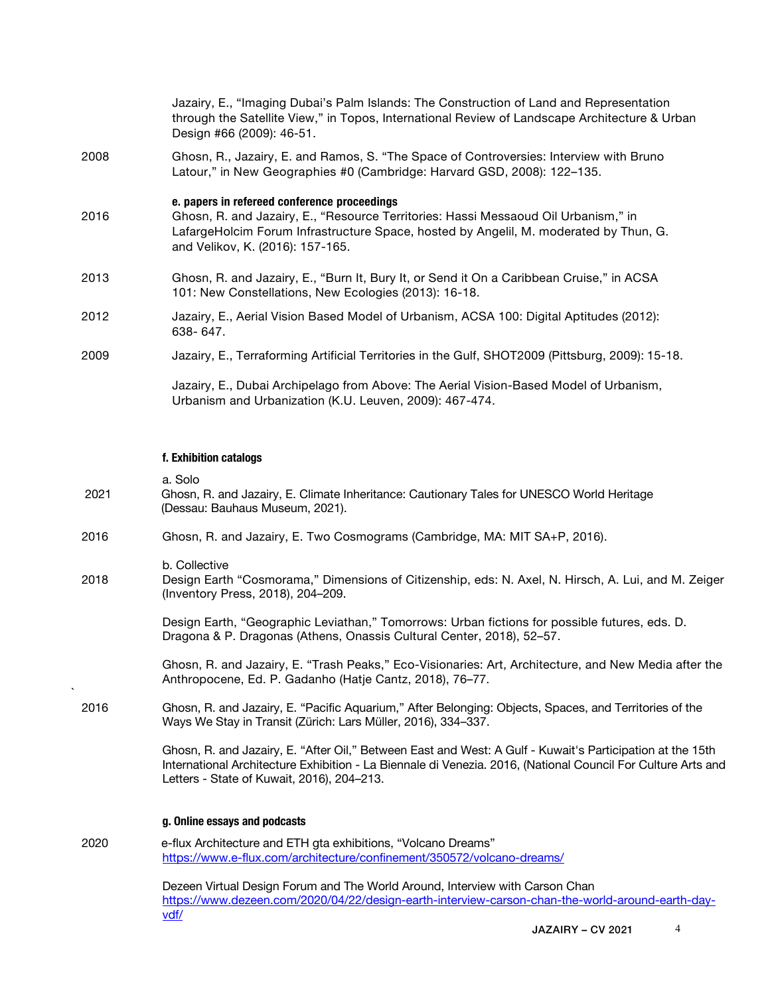|      | Jazairy, E., "Imaging Dubai's Palm Islands: The Construction of Land and Representation<br>through the Satellite View," in Topos, International Review of Landscape Architecture & Urban<br>Design #66 (2009): 46-51.                                           |
|------|-----------------------------------------------------------------------------------------------------------------------------------------------------------------------------------------------------------------------------------------------------------------|
| 2008 | Ghosn, R., Jazairy, E. and Ramos, S. "The Space of Controversies: Interview with Bruno<br>Latour," in New Geographies #0 (Cambridge: Harvard GSD, 2008): 122–135.                                                                                               |
| 2016 | e. papers in refereed conference proceedings<br>Ghosn, R. and Jazairy, E., "Resource Territories: Hassi Messaoud Oil Urbanism," in<br>LafargeHolcim Forum Infrastructure Space, hosted by Angelil, M. moderated by Thun, G.<br>and Velikov, K. (2016): 157-165. |
| 2013 | Ghosn, R. and Jazairy, E., "Burn It, Bury It, or Send it On a Caribbean Cruise," in ACSA<br>101: New Constellations, New Ecologies (2013): 16-18.                                                                                                               |
| 2012 | Jazairy, E., Aerial Vision Based Model of Urbanism, ACSA 100: Digital Aptitudes (2012):<br>638-647.                                                                                                                                                             |
| 2009 | Jazairy, E., Terraforming Artificial Territories in the Gulf, SHOT2009 (Pittsburg, 2009): 15-18.                                                                                                                                                                |
|      | Jazairy, E., Dubai Archipelago from Above: The Aerial Vision-Based Model of Urbanism,<br>Urbanism and Urbanization (K.U. Leuven, 2009): 467-474.                                                                                                                |

## **f. Exhibition catalogs**

| 2021    | a. Solo<br>Ghosn, R. and Jazairy, E. Climate Inheritance: Cautionary Tales for UNESCO World Heritage<br>(Dessau: Bauhaus Museum, 2021).                                                                                                                                 |
|---------|-------------------------------------------------------------------------------------------------------------------------------------------------------------------------------------------------------------------------------------------------------------------------|
| 2016    | Ghosn, R. and Jazairy, E. Two Cosmograms (Cambridge, MA: MIT SA+P, 2016).                                                                                                                                                                                               |
| 2018    | b. Collective<br>Design Earth "Cosmorama," Dimensions of Citizenship, eds: N. Axel, N. Hirsch, A. Lui, and M. Zeiger<br>(Inventory Press, 2018), 204-209.                                                                                                               |
|         | Design Earth, "Geographic Leviathan," Tomorrows: Urban fictions for possible futures, eds. D.<br>Dragona & P. Dragonas (Athens, Onassis Cultural Center, 2018), 52-57.                                                                                                  |
| $\cdot$ | Ghosn, R. and Jazairy, E. "Trash Peaks," Eco-Visionaries: Art, Architecture, and New Media after the<br>Anthropocene, Ed. P. Gadanho (Hatje Cantz, 2018), 76-77.                                                                                                        |
| 2016    | Ghosn, R. and Jazairy, E. "Pacific Aquarium," After Belonging: Objects, Spaces, and Territories of the<br>Ways We Stay in Transit (Zürich: Lars Müller, 2016), 334-337.                                                                                                 |
|         | Ghosn, R. and Jazairy, E. "After Oil," Between East and West: A Gulf - Kuwait's Participation at the 15th<br>International Architecture Exhibition - La Biennale di Venezia. 2016, (National Council For Culture Arts and<br>Letters - State of Kuwait, 2016), 204-213. |
|         | g. Online essays and podcasts                                                                                                                                                                                                                                           |
| 2020    | e-flux Architecture and ETH gta exhibitions, "Volcano Dreams"<br>https://www.e-flux.com/architecture/confinement/350572/volcano-dreams/                                                                                                                                 |
|         | Dezeen Virtual Design Forum and The World Around, Interview with Carson Chan<br>https://www.dezeen.com/2020/04/22/design-earth-interview-carson-chan-the-world-around-earth-day-<br>vdf/                                                                                |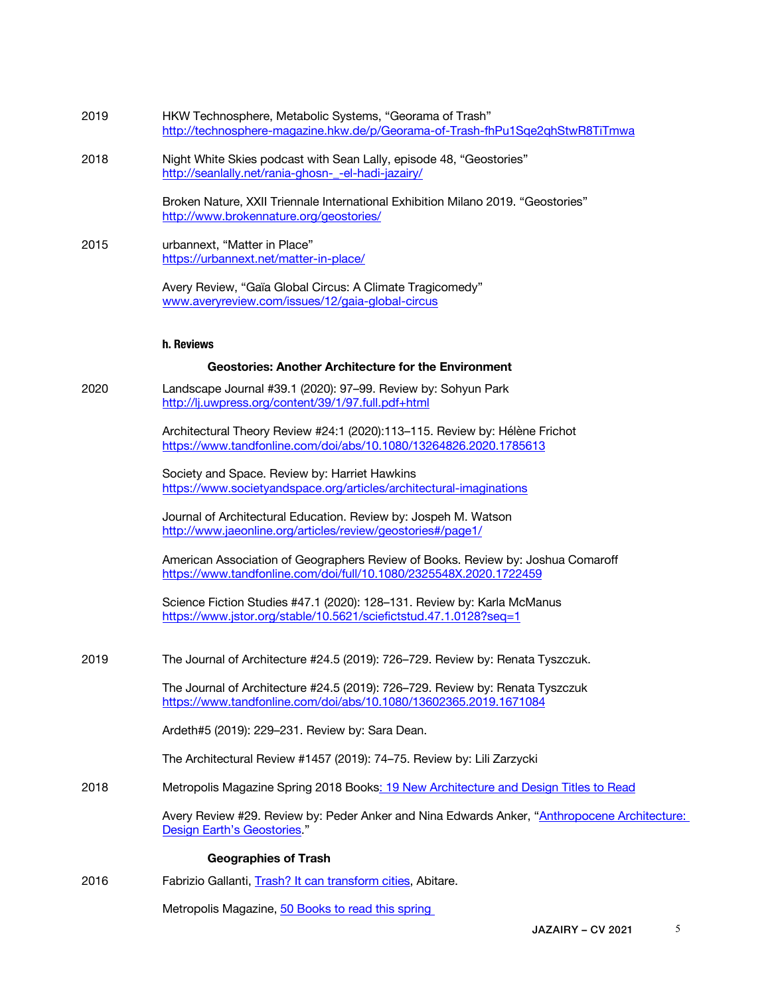| 2019 | HKW Technosphere, Metabolic Systems, "Georama of Trash"<br>http://technosphere-magazine.hkw.de/p/Georama-of-Trash-fhPu1Sge2ghStwR8TiTmwa              |
|------|-------------------------------------------------------------------------------------------------------------------------------------------------------|
| 2018 | Night White Skies podcast with Sean Lally, episode 48, "Geostories"<br>http://seanlally.net/rania-ghosn- -el-hadi-jazairy/                            |
|      | Broken Nature, XXII Triennale International Exhibition Milano 2019. "Geostories"<br>http://www.brokennature.org/geostories/                           |
| 2015 | urbannext, "Matter in Place"<br>https://urbannext.net/matter-in-place/                                                                                |
|      | Avery Review, "Gaïa Global Circus: A Climate Tragicomedy"<br>www.averyreview.com/issues/12/gaia-global-circus                                         |
|      | h. Reviews                                                                                                                                            |
|      | <b>Geostories: Another Architecture for the Environment</b>                                                                                           |
| 2020 | Landscape Journal #39.1 (2020): 97-99. Review by: Sohyun Park<br>http://lj.uwpress.org/content/39/1/97.full.pdf+html                                  |
|      | Architectural Theory Review #24:1 (2020):113-115. Review by: Hélène Frichot<br>https://www.tandfonline.com/doi/abs/10.1080/13264826.2020.1785613      |
|      | Society and Space. Review by: Harriet Hawkins<br>https://www.societyandspace.org/articles/architectural-imaginations                                  |
|      | Journal of Architectural Education. Review by: Jospeh M. Watson<br>http://www.jaeonline.org/articles/review/geostories#/page1/                        |
|      | American Association of Geographers Review of Books. Review by: Joshua Comaroff<br>https://www.tandfonline.com/doi/full/10.1080/2325548X.2020.1722459 |
|      | Science Fiction Studies #47.1 (2020): 128-131. Review by: Karla McManus<br>https://www.jstor.org/stable/10.5621/sciefictstud.47.1.0128?seq=1          |
| 2019 | The Journal of Architecture #24.5 (2019): 726-729. Review by: Renata Tyszczuk.                                                                        |
|      | The Journal of Architecture #24.5 (2019): 726–729. Review by: Renata Tyszczuk<br>https://www.tandfonline.com/doi/abs/10.1080/13602365.2019.1671084    |
|      | Ardeth#5 (2019): 229-231. Review by: Sara Dean.                                                                                                       |
|      | The Architectural Review #1457 (2019): 74-75. Review by: Lili Zarzycki                                                                                |
| 2018 | Metropolis Magazine Spring 2018 Books: 19 New Architecture and Design Titles to Read                                                                  |
|      | Avery Review #29. Review by: Peder Anker and Nina Edwards Anker, "Anthropocene Architecture:<br>Design Earth's Geostories."                           |
|      | <b>Geographies of Trash</b>                                                                                                                           |
| 2016 | Fabrizio Gallanti, Trash? It can transform cities, Abitare.                                                                                           |
|      | Metropolis Magazine, 50 Books to read this spring                                                                                                     |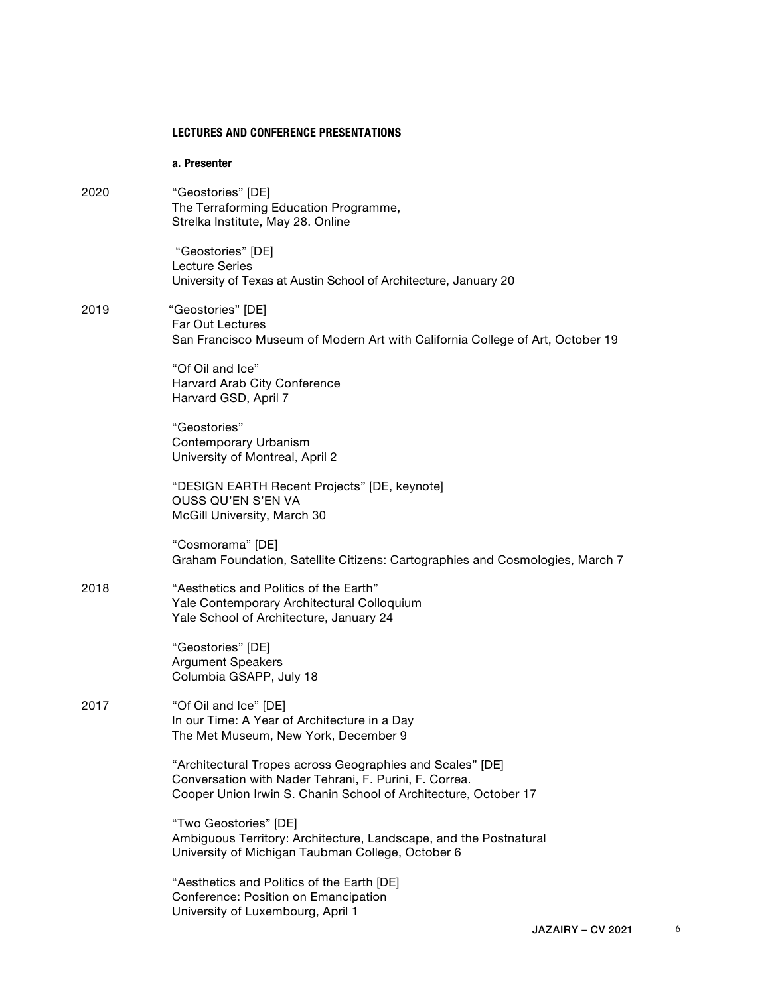#### **LECTURES AND CONFERENCE PRESENTATIONS**

**a. Presenter**

2020 "Geostories" [DE] The Terraforming Education Programme, Strelka Institute, May 28. Online "Geostories" [DE] Lecture Series University of Texas at Austin School of Architecture, January 20 2019 "Geostories" [DE] Far Out Lectures San Francisco Museum of Modern Art with California College of Art, October 19

> "Of Oil and Ice" Harvard Arab City Conference Harvard GSD, April 7

"Geostories" Contemporary Urbanism University of Montreal, April 2

"DESIGN EARTH Recent Projects" [DE, keynote] OUSS QU'EN S'EN VA McGill University, March 30

"Cosmorama" [DE] Graham Foundation, Satellite Citizens: Cartographies and Cosmologies, March 7

### 2018 "Aesthetics and Politics of the Earth" Yale Contemporary Architectural Colloquium Yale School of Architecture, January 24

"Geostories" [DE] Argument Speakers Columbia GSAPP, July 18

2017 "Of Oil and Ice" [DE] In our Time: A Year of Architecture in a Day The Met Museum, New York, December 9

> "Architectural Tropes across Geographies and Scales" [DE] Conversation with Nader Tehrani, F. Purini, F. Correa. Cooper Union Irwin S. Chanin School of Architecture, October 17

"Two Geostories" [DE] Ambiguous Territory: Architecture, Landscape, and the Postnatural University of Michigan Taubman College, October 6

"Aesthetics and Politics of the Earth [DE] Conference: Position on Emancipation University of Luxembourg, April 1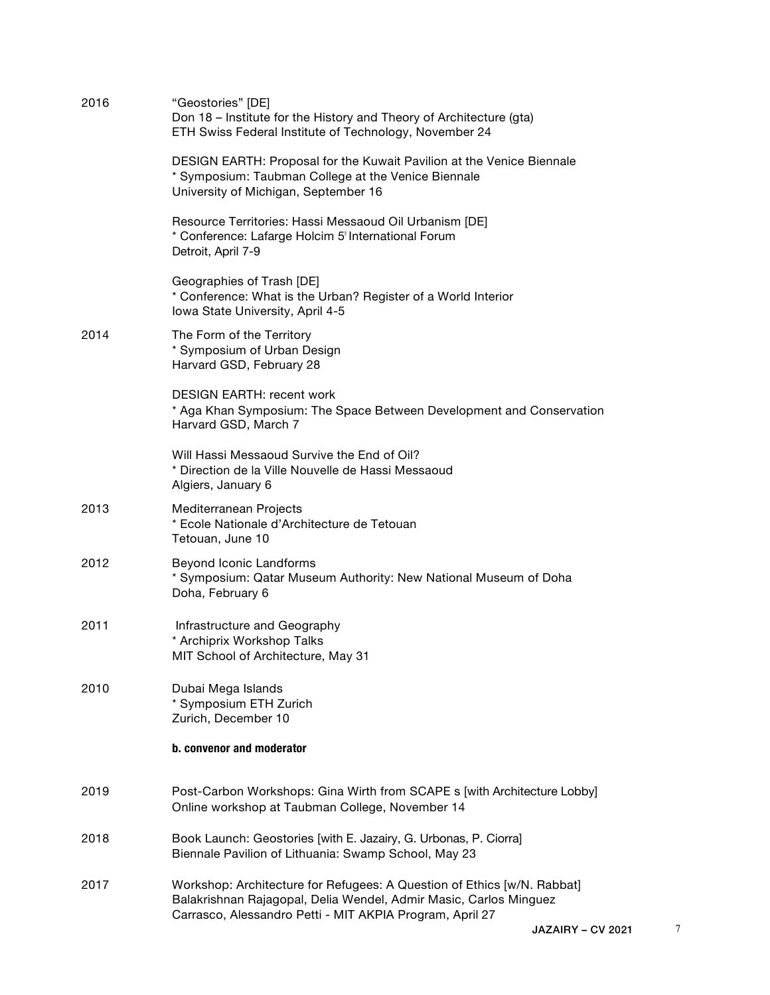| 2016 | "Geostories" [DE]<br>Don 18 - Institute for the History and Theory of Architecture (gta)<br>ETH Swiss Federal Institute of Technology, November 24                                                       |                   |   |
|------|----------------------------------------------------------------------------------------------------------------------------------------------------------------------------------------------------------|-------------------|---|
|      | DESIGN EARTH: Proposal for the Kuwait Pavilion at the Venice Biennale<br>* Symposium: Taubman College at the Venice Biennale<br>University of Michigan, September 16                                     |                   |   |
|      | Resource Territories: Hassi Messaoud Oil Urbanism [DE]<br>* Conference: Lafarge Holcim 5 <sup>t</sup> International Forum<br>Detroit, April 7-9                                                          |                   |   |
|      | Geographies of Trash [DE]<br>* Conference: What is the Urban? Register of a World Interior<br>Iowa State University, April 4-5                                                                           |                   |   |
| 2014 | The Form of the Territory<br>* Symposium of Urban Design<br>Harvard GSD, February 28                                                                                                                     |                   |   |
|      | <b>DESIGN EARTH: recent work</b><br>* Aga Khan Symposium: The Space Between Development and Conservation<br>Harvard GSD, March 7                                                                         |                   |   |
|      | Will Hassi Messaoud Survive the End of Oil?<br>* Direction de la Ville Nouvelle de Hassi Messaoud<br>Algiers, January 6                                                                                  |                   |   |
| 2013 | Mediterranean Projects<br>* Ecole Nationale d'Architecture de Tetouan<br>Tetouan, June 10                                                                                                                |                   |   |
| 2012 | Beyond Iconic Landforms<br>* Symposium: Qatar Museum Authority: New National Museum of Doha<br>Doha, February 6                                                                                          |                   |   |
| 2011 | Infrastructure and Geography<br>* Archiprix Workshop Talks<br>MIT School of Architecture, May 31                                                                                                         |                   |   |
| 2010 | Dubai Mega Islands<br>* Symposium ETH Zurich<br>Zurich, December 10                                                                                                                                      |                   |   |
|      | b. convenor and moderator                                                                                                                                                                                |                   |   |
| 2019 | Post-Carbon Workshops: Gina Wirth from SCAPE s [with Architecture Lobby]<br>Online workshop at Taubman College, November 14                                                                              |                   |   |
| 2018 | Book Launch: Geostories [with E. Jazairy, G. Urbonas, P. Ciorra]<br>Biennale Pavilion of Lithuania: Swamp School, May 23                                                                                 |                   |   |
| 2017 | Workshop: Architecture for Refugees: A Question of Ethics [w/N. Rabbat]<br>Balakrishnan Rajagopal, Delia Wendel, Admir Masic, Carlos Minguez<br>Carrasco, Alessandro Petti - MIT AKPIA Program, April 27 |                   |   |
|      |                                                                                                                                                                                                          | JAZAIRY – CV 2021 | 7 |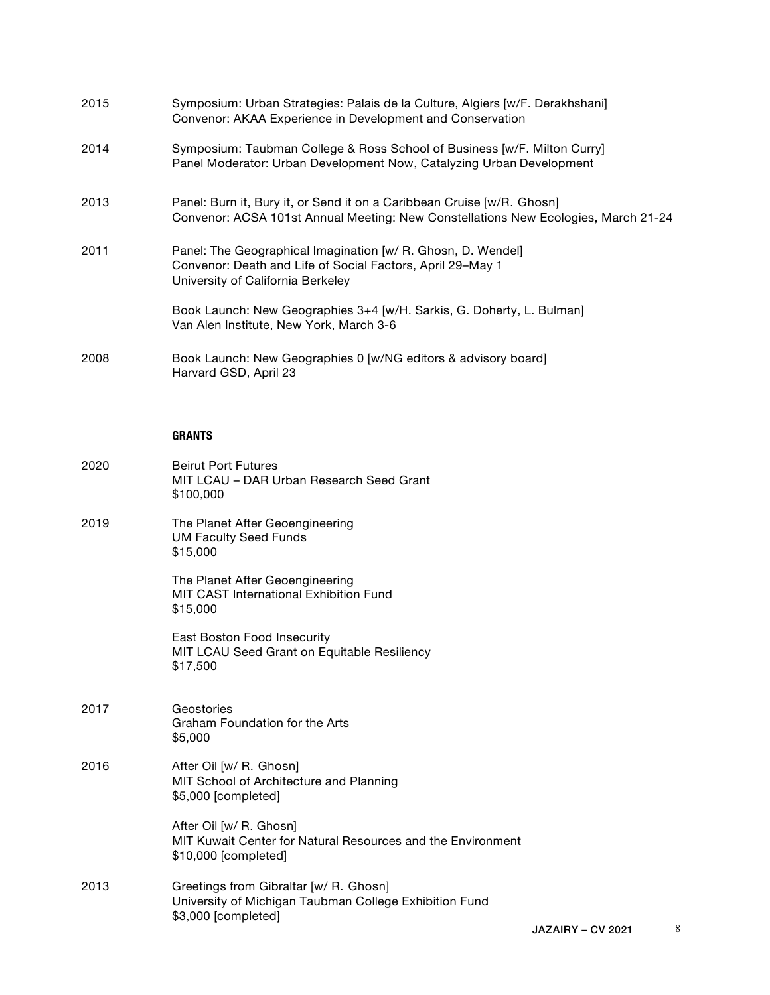| 2015 | Symposium: Urban Strategies: Palais de la Culture, Algiers [w/F. Derakhshani]<br>Convenor: AKAA Experience in Development and Conservation                      |
|------|-----------------------------------------------------------------------------------------------------------------------------------------------------------------|
| 2014 | Symposium: Taubman College & Ross School of Business [w/F. Milton Curry]<br>Panel Moderator: Urban Development Now, Catalyzing Urban Development                |
| 2013 | Panel: Burn it, Bury it, or Send it on a Caribbean Cruise [w/R. Ghosn]<br>Convenor: ACSA 101st Annual Meeting: New Constellations New Ecologies, March 21-24    |
| 2011 | Panel: The Geographical Imagination [w/ R. Ghosn, D. Wendel]<br>Convenor: Death and Life of Social Factors, April 29-May 1<br>University of California Berkeley |
|      | Book Launch: New Geographies 3+4 [w/H. Sarkis, G. Doherty, L. Bulman]<br>Van Alen Institute, New York, March 3-6                                                |
| 2008 | Book Launch: New Geographies 0 [w/NG editors & advisory board]<br>Harvard GSD, April 23                                                                         |

## **GRANTS**

| 2020 | <b>Beirut Port Futures</b><br>MIT LCAU - DAR Urban Research Seed Grant<br>\$100,000                                     |                |
|------|-------------------------------------------------------------------------------------------------------------------------|----------------|
| 2019 | The Planet After Geoengineering<br><b>UM Faculty Seed Funds</b><br>\$15,000                                             |                |
|      | The Planet After Geoengineering<br>MIT CAST International Exhibition Fund<br>\$15,000                                   |                |
|      | East Boston Food Insecurity<br>MIT LCAU Seed Grant on Equitable Resiliency<br>\$17,500                                  |                |
| 2017 | Geostories<br>Graham Foundation for the Arts<br>\$5,000                                                                 |                |
| 2016 | After Oil [w/ R. Ghosn]<br>MIT School of Architecture and Planning<br>\$5,000 [completed]                               |                |
|      | After Oil [w/ R. Ghosn]<br>MIT Kuwait Center for Natural Resources and the Environment<br>\$10,000 [completed]          |                |
| 2013 | Greetings from Gibraltar [w/ R. Ghosn]<br>University of Michigan Taubman College Exhibition Fund<br>\$3,000 [completed] | <b>IAZAIRV</b> |
|      |                                                                                                                         |                |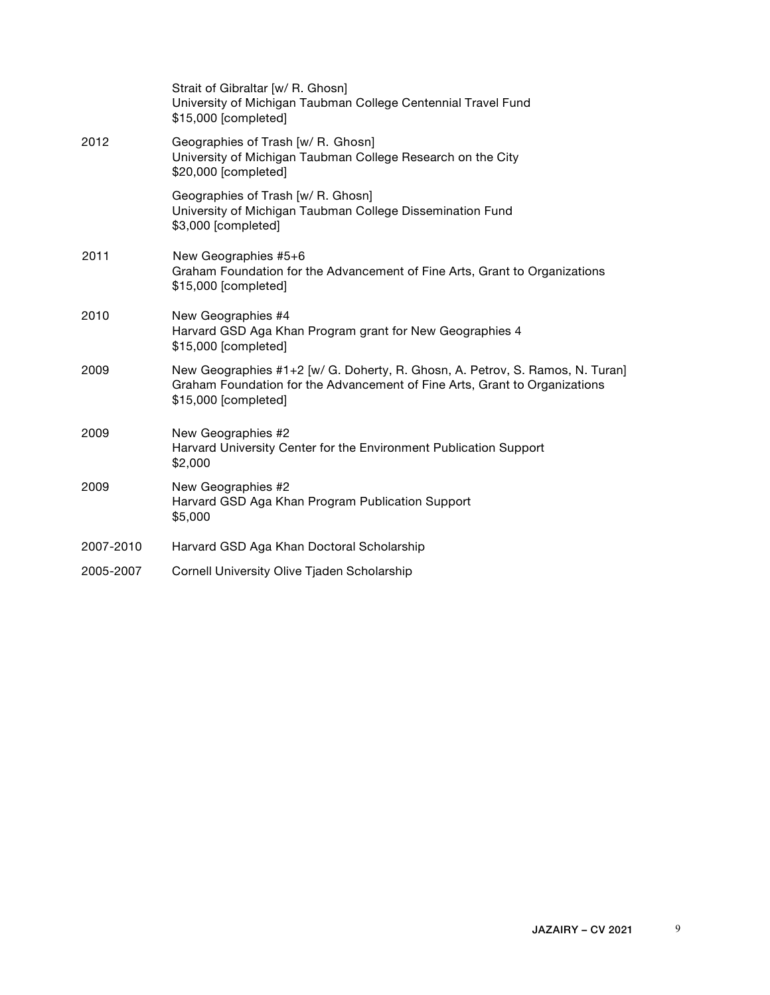|           | Strait of Gibraltar [w/ R. Ghosn]<br>University of Michigan Taubman College Centennial Travel Fund<br>\$15,000 [completed]                                                          |
|-----------|-------------------------------------------------------------------------------------------------------------------------------------------------------------------------------------|
| 2012      | Geographies of Trash [w/ R. Ghosn]<br>University of Michigan Taubman College Research on the City<br>\$20,000 [completed]                                                           |
|           | Geographies of Trash [w/ R. Ghosn]<br>University of Michigan Taubman College Dissemination Fund<br>\$3,000 [completed]                                                              |
| 2011      | New Geographies #5+6<br>Graham Foundation for the Advancement of Fine Arts, Grant to Organizations<br>\$15,000 [completed]                                                          |
| 2010      | New Geographies #4<br>Harvard GSD Aga Khan Program grant for New Geographies 4<br>\$15,000 [completed]                                                                              |
| 2009      | New Geographies #1+2 [w/ G. Doherty, R. Ghosn, A. Petrov, S. Ramos, N. Turan]<br>Graham Foundation for the Advancement of Fine Arts, Grant to Organizations<br>\$15,000 [completed] |
| 2009      | New Geographies #2<br>Harvard University Center for the Environment Publication Support<br>\$2,000                                                                                  |
| 2009      | New Geographies #2<br>Harvard GSD Aga Khan Program Publication Support<br>\$5,000                                                                                                   |
| 2007-2010 | Harvard GSD Aga Khan Doctoral Scholarship                                                                                                                                           |
| 2005-2007 | Cornell University Olive Tjaden Scholarship                                                                                                                                         |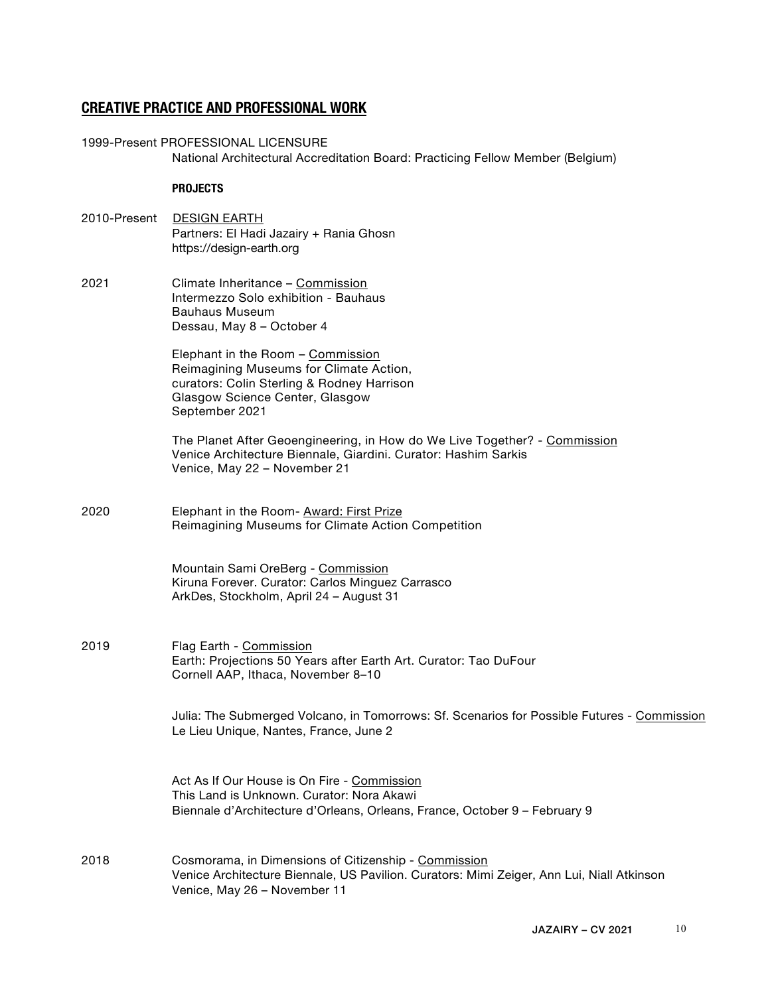## **CREATIVE PRACTICE AND PROFESSIONAL WORK**

1999-Present PROFESSIONAL LICENSURE National Architectural Accreditation Board: Practicing Fellow Member (Belgium)

#### **PROJECTS**

- 2010-Present DESIGN EARTH Partners: El Hadi Jazairy + Rania Ghosn https://design-earth.org
- 2021 Climate Inheritance Commission Intermezzo Solo exhibition - Bauhaus Bauhaus Museum Dessau, May 8 – October 4

Elephant in the Room – Commission Reimagining Museums for Climate Action, curators: Colin Sterling & Rodney Harrison Glasgow Science Center, Glasgow September 2021

The Planet After Geoengineering, in How do We Live Together? - Commission Venice Architecture Biennale, Giardini. Curator: Hashim Sarkis Venice, May 22 – November 21

2020 Elephant in the Room- Award: First Prize Reimagining Museums for Climate Action Competition

> Mountain Sami OreBerg - Commission Kiruna Forever. Curator: Carlos Minguez Carrasco ArkDes, Stockholm, April 24 – August 31

2019 Flag Earth - Commission Earth: Projections 50 Years after Earth Art. Curator: Tao DuFour Cornell AAP, Ithaca, November 8–10

> Julia: The Submerged Volcano, in Tomorrows: Sf. Scenarios for Possible Futures - Commission Le Lieu Unique, Nantes, France, June 2

Act As If Our House is On Fire - Commission This Land is Unknown. Curator: Nora Akawi Biennale d'Architecture d'Orleans, Orleans, France, October 9 – February 9

2018 Cosmorama, in Dimensions of Citizenship - Commission Venice Architecture Biennale, US Pavilion. Curators: Mimi Zeiger, Ann Lui, Niall Atkinson Venice, May 26 – November 11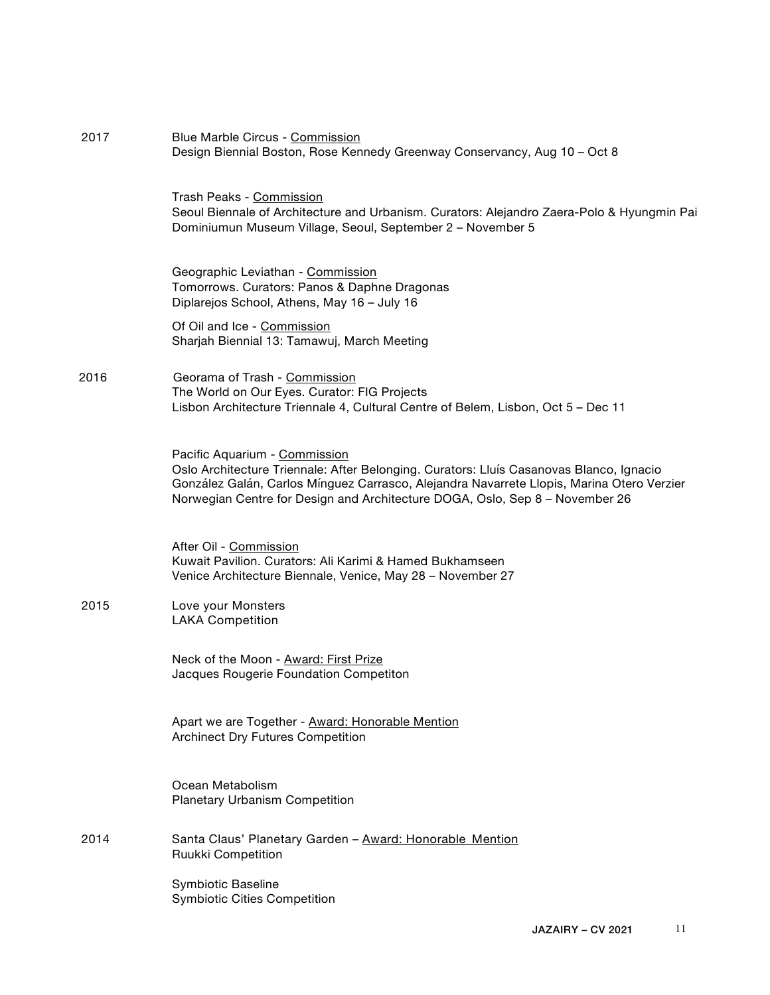| Seoul Biennale of Architecture and Urbanism. Curators: Alejandro Zaera-Polo & Hyungmin Pai                                                                                           |
|--------------------------------------------------------------------------------------------------------------------------------------------------------------------------------------|
|                                                                                                                                                                                      |
|                                                                                                                                                                                      |
|                                                                                                                                                                                      |
|                                                                                                                                                                                      |
| Oslo Architecture Triennale: After Belonging. Curators: Lluís Casanovas Blanco, Ignacio<br>González Galán, Carlos Mínguez Carrasco, Alejandra Navarrete Llopis, Marina Otero Verzier |
|                                                                                                                                                                                      |
|                                                                                                                                                                                      |
|                                                                                                                                                                                      |
|                                                                                                                                                                                      |
|                                                                                                                                                                                      |
|                                                                                                                                                                                      |
|                                                                                                                                                                                      |
|                                                                                                                                                                                      |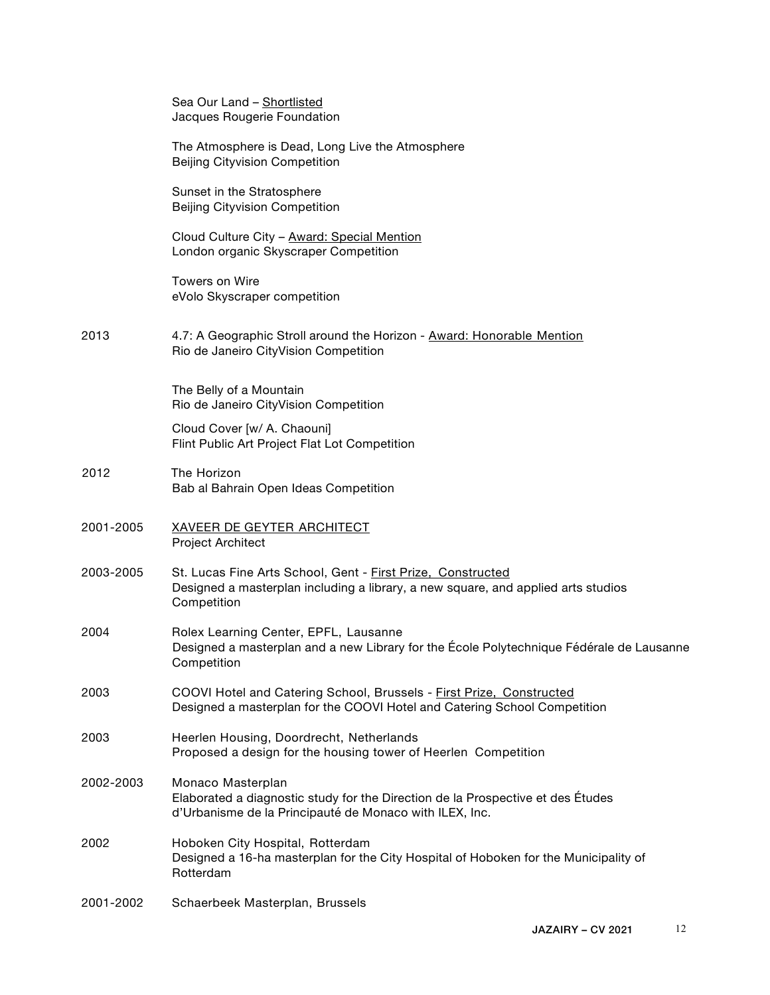|           | Sea Our Land - Shortlisted<br>Jacques Rougerie Foundation                                                                                                       |
|-----------|-----------------------------------------------------------------------------------------------------------------------------------------------------------------|
|           | The Atmosphere is Dead, Long Live the Atmosphere<br><b>Beijing Cityvision Competition</b>                                                                       |
|           | Sunset in the Stratosphere<br>Beijing Cityvision Competition                                                                                                    |
|           | Cloud Culture City - Award: Special Mention<br>London organic Skyscraper Competition                                                                            |
|           | Towers on Wire<br>eVolo Skyscraper competition                                                                                                                  |
| 2013      | 4.7: A Geographic Stroll around the Horizon - Award: Honorable Mention<br>Rio de Janeiro CityVision Competition                                                 |
|           | The Belly of a Mountain<br>Rio de Janeiro CityVision Competition                                                                                                |
|           | Cloud Cover [w/ A. Chaouni]<br>Flint Public Art Project Flat Lot Competition                                                                                    |
| 2012      | The Horizon<br>Bab al Bahrain Open Ideas Competition                                                                                                            |
| 2001-2005 | <b>XAVEER DE GEYTER ARCHITECT</b><br>Project Architect                                                                                                          |
| 2003-2005 | St. Lucas Fine Arts School, Gent - First Prize, Constructed<br>Designed a masterplan including a library, a new square, and applied arts studios<br>Competition |
| 2004      | Rolex Learning Center, EPFL, Lausanne<br>Designed a masterplan and a new Library for the École Polytechnique Fédérale de Lausanne<br>Competition                |
| 2003      | COOVI Hotel and Catering School, Brussels - First Prize, Constructed<br>Designed a masterplan for the COOVI Hotel and Catering School Competition               |
| 2003      | Heerlen Housing, Doordrecht, Netherlands<br>Proposed a design for the housing tower of Heerlen Competition                                                      |
| 2002-2003 | Monaco Masterplan<br>Elaborated a diagnostic study for the Direction de la Prospective et des Études<br>d'Urbanisme de la Principauté de Monaco with ILEX, Inc. |
| 2002      | Hoboken City Hospital, Rotterdam<br>Designed a 16-ha masterplan for the City Hospital of Hoboken for the Municipality of<br>Rotterdam                           |
| 2001-2002 | Schaerbeek Masterplan, Brussels                                                                                                                                 |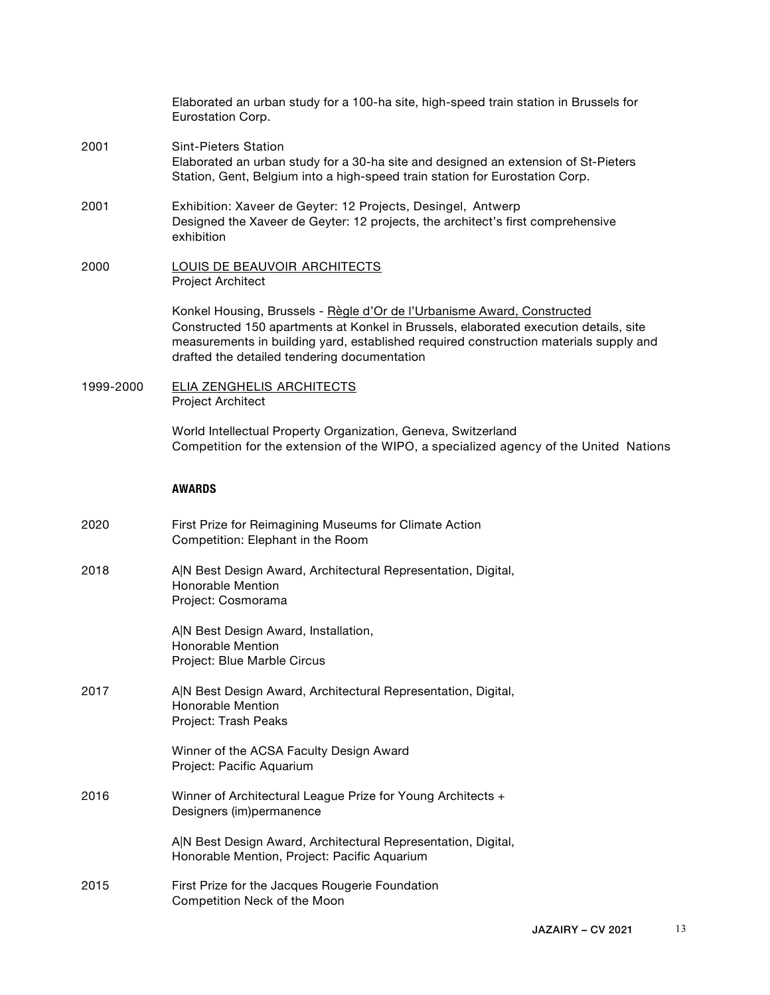|           | Elaborated an urban study for a 100-ha site, high-speed train station in Brussels for<br>Eurostation Corp.                                                                                                                                                                                               |
|-----------|----------------------------------------------------------------------------------------------------------------------------------------------------------------------------------------------------------------------------------------------------------------------------------------------------------|
| 2001      | <b>Sint-Pieters Station</b><br>Elaborated an urban study for a 30-ha site and designed an extension of St-Pieters<br>Station, Gent, Belgium into a high-speed train station for Eurostation Corp.                                                                                                        |
| 2001      | Exhibition: Xaveer de Geyter: 12 Projects, Desingel, Antwerp<br>Designed the Xaveer de Geyter: 12 projects, the architect's first comprehensive<br>exhibition                                                                                                                                            |
| 2000      | <b>LOUIS DE BEAUVOIR ARCHITECTS</b><br>Project Architect                                                                                                                                                                                                                                                 |
|           | Konkel Housing, Brussels - Règle d'Or de l'Urbanisme Award, Constructed<br>Constructed 150 apartments at Konkel in Brussels, elaborated execution details, site<br>measurements in building yard, established required construction materials supply and<br>drafted the detailed tendering documentation |
| 1999-2000 | <b>ELIA ZENGHELIS ARCHITECTS</b><br>Project Architect                                                                                                                                                                                                                                                    |
|           | World Intellectual Property Organization, Geneva, Switzerland<br>Competition for the extension of the WIPO, a specialized agency of the United Nations                                                                                                                                                   |
|           | <b>AWARDS</b>                                                                                                                                                                                                                                                                                            |
| 2020      | First Prize for Reimagining Museums for Climate Action<br>Competition: Elephant in the Room                                                                                                                                                                                                              |
| 2018      | A N Best Design Award, Architectural Representation, Digital,<br>Honorable Mention<br>Project: Cosmorama                                                                                                                                                                                                 |
|           | A N Best Design Award, Installation,<br>Honorable Mention<br>Project: Blue Marble Circus                                                                                                                                                                                                                 |
| 2017      | A N Best Design Award, Architectural Representation, Digital,<br>Honorable Mention<br>Project: Trash Peaks                                                                                                                                                                                               |
|           | Winner of the ACSA Faculty Design Award<br>Project: Pacific Aquarium                                                                                                                                                                                                                                     |
| 2016      | Winner of Architectural League Prize for Young Architects +<br>Designers (im)permanence                                                                                                                                                                                                                  |
|           | A N Best Design Award, Architectural Representation, Digital,<br>Honorable Mention, Project: Pacific Aquarium                                                                                                                                                                                            |
| 2015      | First Prize for the Jacques Rougerie Foundation<br>Competition Neck of the Moon                                                                                                                                                                                                                          |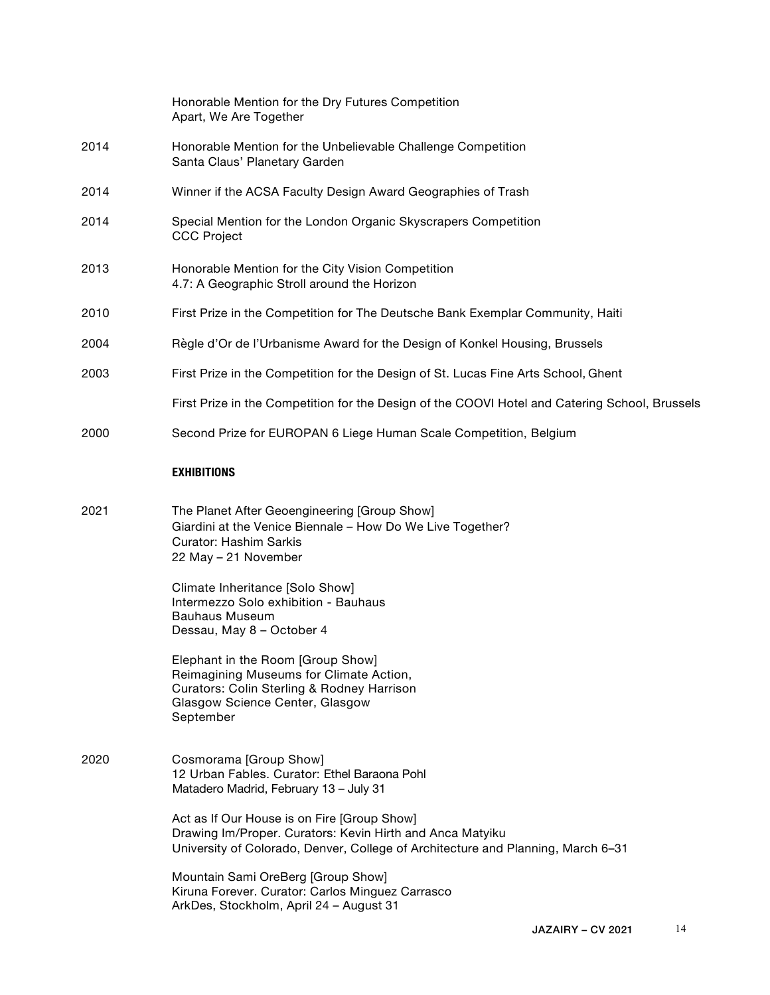|      | Honorable Mention for the Dry Futures Competition<br>Apart, We Are Together                      |
|------|--------------------------------------------------------------------------------------------------|
| 2014 | Honorable Mention for the Unbelievable Challenge Competition<br>Santa Claus' Planetary Garden    |
| 2014 | Winner if the ACSA Faculty Design Award Geographies of Trash                                     |
| 2014 | Special Mention for the London Organic Skyscrapers Competition<br><b>CCC Project</b>             |
| 2013 | Honorable Mention for the City Vision Competition<br>4.7: A Geographic Stroll around the Horizon |
| 2010 | First Prize in the Competition for The Deutsche Bank Exemplar Community, Haiti                   |
| 2004 | Règle d'Or de l'Urbanisme Award for the Design of Konkel Housing, Brussels                       |
| 2003 | First Prize in the Competition for the Design of St. Lucas Fine Arts School, Ghent               |
|      | First Prize in the Competition for the Design of the COOVI Hotel and Catering School, Brussels   |
| 2000 | Second Prize for EUROPAN 6 Liege Human Scale Competition, Belgium                                |

#### **EXHIBITIONS**

2021 The Planet After Geoengineering [Group Show] Giardini at the Venice Biennale – How Do We Live Together? Curator: Hashim Sarkis 22 May – 21 November

> Climate Inheritance [Solo Show] Intermezzo Solo exhibition - Bauhaus Bauhaus Museum Dessau, May 8 – October 4

Elephant in the Room [Group Show] Reimagining Museums for Climate Action, Curators: Colin Sterling & Rodney Harrison Glasgow Science Center, Glasgow September

2020 Cosmorama [Group Show] 12 Urban Fables. Curator: Ethel Baraona Pohl Matadero Madrid, February 13 – July 31

> Act as If Our House is on Fire [Group Show] Drawing Im/Proper. Curators: Kevin Hirth and Anca Matyiku University of Colorado, Denver, College of Architecture and Planning, March 6–31

Mountain Sami OreBerg [Group Show] Kiruna Forever. Curator: Carlos Minguez Carrasco ArkDes, Stockholm, April 24 – August 31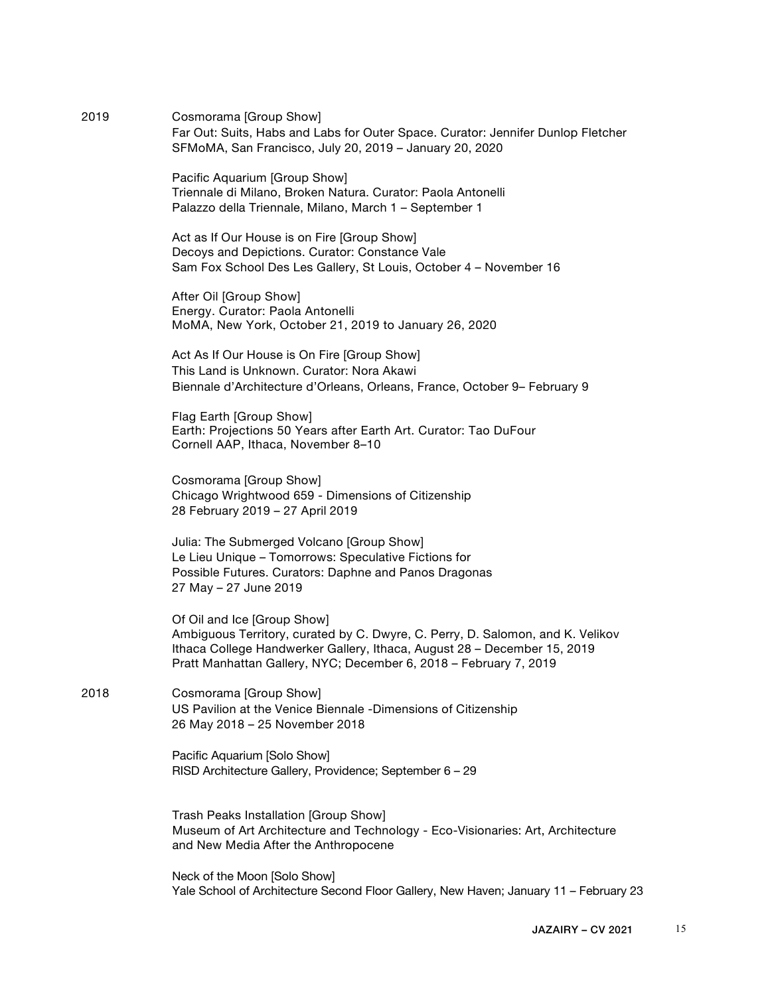2019 Cosmorama [Group Show] Far Out: Suits, Habs and Labs for Outer Space. Curator: Jennifer Dunlop Fletcher SFMoMA, San Francisco, July 20, 2019 – January 20, 2020

> Pacific Aquarium [Group Show] Triennale di Milano, Broken Natura. Curator: Paola Antonelli Palazzo della Triennale, Milano, March 1 – September 1

Act as If Our House is on Fire [Group Show] Decoys and Depictions. Curator: Constance Vale Sam Fox School Des Les Gallery, St Louis, October 4 – November 16

After Oil [Group Show] Energy. Curator: Paola Antonelli MoMA, New York, October 21, 2019 to January 26, 2020

Act As If Our House is On Fire [Group Show] This Land is Unknown. Curator: Nora Akawi Biennale d'Architecture d'Orleans, Orleans, France, October 9– February 9

Flag Earth [Group Show] Earth: Projections 50 Years after Earth Art. Curator: Tao DuFour Cornell AAP, Ithaca, November 8–10

Cosmorama [Group Show] Chicago Wrightwood 659 - Dimensions of Citizenship 28 February 2019 – 27 April 2019

Julia: The Submerged Volcano [Group Show] Le Lieu Unique – Tomorrows: Speculative Fictions for Possible Futures. Curators: Daphne and Panos Dragonas 27 May – 27 June 2019

Of Oil and Ice [Group Show] Ambiguous Territory, curated by C. Dwyre, C. Perry, D. Salomon, and K. Velikov Ithaca College Handwerker Gallery, Ithaca, August 28 – December 15, 2019 Pratt Manhattan Gallery, NYC; December 6, 2018 – February 7, 2019

2018 Cosmorama [Group Show] US Pavilion at the Venice Biennale -Dimensions of Citizenship 26 May 2018 – 25 November 2018

> Pacific Aquarium [Solo Show] RISD Architecture Gallery, Providence; September 6 – 29

Trash Peaks Installation [Group Show] Museum of Art Architecture and Technology - Eco-Visionaries: Art, Architecture and New Media After the Anthropocene

Neck of the Moon [Solo Show] Yale School of Architecture Second Floor Gallery, New Haven; January 11 – February 23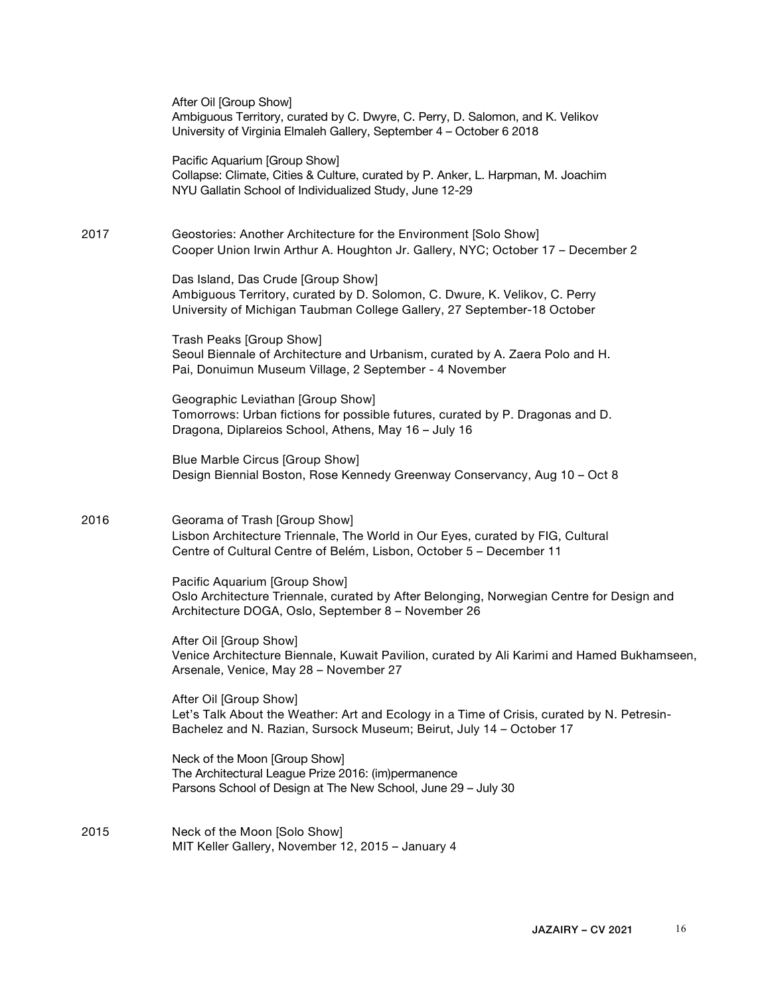|      | After Oil [Group Show]<br>Ambiguous Territory, curated by C. Dwyre, C. Perry, D. Salomon, and K. Velikov<br>University of Virginia Elmaleh Gallery, September 4 - October 6 2018             |
|------|----------------------------------------------------------------------------------------------------------------------------------------------------------------------------------------------|
|      | Pacific Aquarium [Group Show]<br>Collapse: Climate, Cities & Culture, curated by P. Anker, L. Harpman, M. Joachim<br>NYU Gallatin School of Individualized Study, June 12-29                 |
| 2017 | Geostories: Another Architecture for the Environment [Solo Show]<br>Cooper Union Irwin Arthur A. Houghton Jr. Gallery, NYC; October 17 - December 2                                          |
|      | Das Island, Das Crude [Group Show]<br>Ambiguous Territory, curated by D. Solomon, C. Dwure, K. Velikov, C. Perry<br>University of Michigan Taubman College Gallery, 27 September-18 October  |
|      | Trash Peaks [Group Show]<br>Seoul Biennale of Architecture and Urbanism, curated by A. Zaera Polo and H.<br>Pai, Donuimun Museum Village, 2 September - 4 November                           |
|      | Geographic Leviathan [Group Show]<br>Tomorrows: Urban fictions for possible futures, curated by P. Dragonas and D.<br>Dragona, Diplareios School, Athens, May 16 - July 16                   |
|      | Blue Marble Circus [Group Show]<br>Design Biennial Boston, Rose Kennedy Greenway Conservancy, Aug 10 - Oct 8                                                                                 |
| 2016 | Georama of Trash [Group Show]<br>Lisbon Architecture Triennale, The World in Our Eyes, curated by FIG, Cultural<br>Centre of Cultural Centre of Belém, Lisbon, October 5 - December 11       |
|      | Pacific Aquarium [Group Show]<br>Oslo Architecture Triennale, curated by After Belonging, Norwegian Centre for Design and<br>Architecture DOGA, Oslo, September 8 - November 26              |
|      | After Oil [Group Show]<br>Venice Architecture Biennale, Kuwait Pavilion, curated by Ali Karimi and Hamed Bukhamseen,<br>Arsenale, Venice, May 28 - November 27                               |
|      | After Oil [Group Show]<br>Let's Talk About the Weather: Art and Ecology in a Time of Crisis, curated by N. Petresin-<br>Bachelez and N. Razian, Sursock Museum; Beirut, July 14 - October 17 |
|      | Neck of the Moon [Group Show]<br>The Architectural League Prize 2016: (im)permanence<br>Parsons School of Design at The New School, June 29 - July 30                                        |
| 2015 | Neck of the Moon [Solo Show]<br>MIT Keller Gallery, November 12, 2015 - January 4                                                                                                            |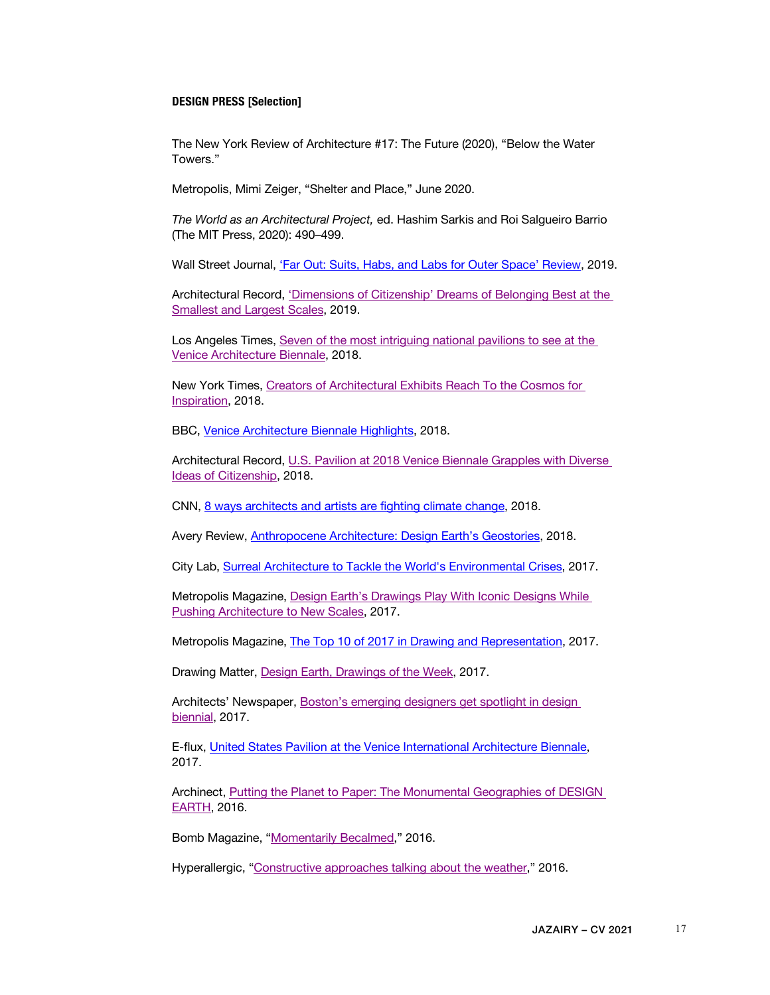#### **DESIGN PRESS [Selection]**

The New York Review of Architecture #17: The Future (2020), "Below the Water Towers."

Metropolis, Mimi Zeiger, "Shelter and Place," June 2020.

*The World as an Architectural Project,* ed. Hashim Sarkis and Roi Salgueiro Barrio (The MIT Press, 2020): 490–499.

Wall Street Journal, 'Far Out: Suits, Habs, and Labs for Outer Space' Review, 2019.

Architectural Record, 'Dimensions of Citizenship' Dreams of Belonging Best at the Smallest and Largest Scales, 2019.

Los Angeles Times, Seven of the most intriguing national pavilions to see at the Venice Architecture Biennale, 2018.

New York Times, Creators of Architectural Exhibits Reach To the Cosmos for Inspiration, 2018.

BBC, Venice Architecture Biennale Highlights, 2018.

Architectural Record, U.S. Pavilion at 2018 Venice Biennale Grapples with Diverse Ideas of Citizenship, 2018.

CNN, 8 ways architects and artists are fighting climate change, 2018.

Avery Review, Anthropocene Architecture: Design Earth's Geostories, 2018.

City Lab, Surreal Architecture to Tackle the World's Environmental Crises, 2017.

Metropolis Magazine, Design Earth's Drawings Play With Iconic Designs While Pushing Architecture to New Scales, 2017.

Metropolis Magazine, The Top 10 of 2017 in Drawing and Representation, 2017.

Drawing Matter, Design Earth, Drawings of the Week, 2017.

Architects' Newspaper, Boston's emerging designers get spotlight in design biennial, 2017.

E-flux, United States Pavilion at the Venice International Architecture Biennale, 2017.

Archinect, Putting the Planet to Paper: The Monumental Geographies of DESIGN EARTH, 2016.

Bomb Magazine, "Momentarily Becalmed," 2016.

Hyperallergic, "Constructive approaches talking about the weather," 2016.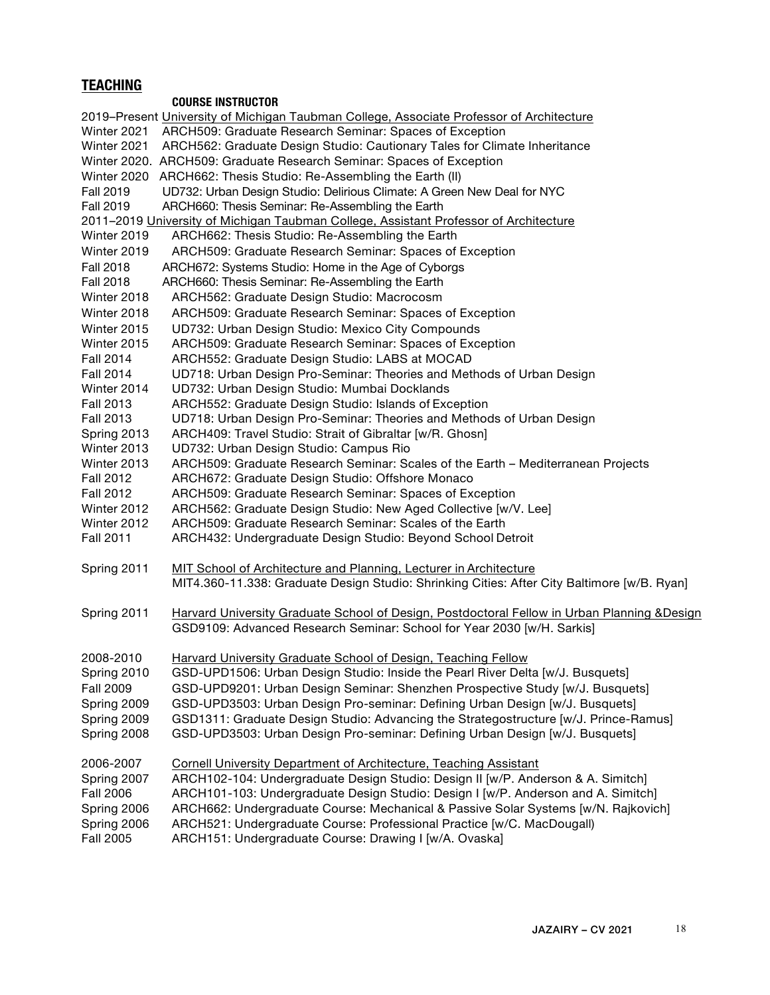# **TEACHING**

## **COURSE INSTRUCTOR**

|                                                                                       | 2019-Present University of Michigan Taubman College, Associate Professor of Architecture                                                                              |  |
|---------------------------------------------------------------------------------------|-----------------------------------------------------------------------------------------------------------------------------------------------------------------------|--|
|                                                                                       | Winter 2021 ARCH509: Graduate Research Seminar: Spaces of Exception                                                                                                   |  |
|                                                                                       | Winter 2021 ARCH562: Graduate Design Studio: Cautionary Tales for Climate Inheritance                                                                                 |  |
|                                                                                       | Winter 2020. ARCH509: Graduate Research Seminar: Spaces of Exception                                                                                                  |  |
|                                                                                       | Winter 2020 ARCH662: Thesis Studio: Re-Assembling the Earth (II)                                                                                                      |  |
| <b>Fall 2019</b>                                                                      | UD732: Urban Design Studio: Delirious Climate: A Green New Deal for NYC                                                                                               |  |
| <b>Fall 2019</b>                                                                      | ARCH660: Thesis Seminar: Re-Assembling the Earth                                                                                                                      |  |
|                                                                                       | 2011-2019 University of Michigan Taubman College, Assistant Professor of Architecture                                                                                 |  |
| Winter 2019                                                                           | ARCH662: Thesis Studio: Re-Assembling the Earth                                                                                                                       |  |
| Winter 2019                                                                           | ARCH509: Graduate Research Seminar: Spaces of Exception                                                                                                               |  |
| <b>Fall 2018</b>                                                                      | ARCH672: Systems Studio: Home in the Age of Cyborgs                                                                                                                   |  |
| <b>Fall 2018</b>                                                                      | ARCH660: Thesis Seminar: Re-Assembling the Earth                                                                                                                      |  |
| Winter 2018                                                                           | ARCH562: Graduate Design Studio: Macrocosm                                                                                                                            |  |
| Winter 2018                                                                           | ARCH509: Graduate Research Seminar: Spaces of Exception                                                                                                               |  |
| Winter 2015                                                                           | UD732: Urban Design Studio: Mexico City Compounds                                                                                                                     |  |
| Winter 2015                                                                           | ARCH509: Graduate Research Seminar: Spaces of Exception                                                                                                               |  |
| Fall 2014                                                                             | ARCH552: Graduate Design Studio: LABS at MOCAD                                                                                                                        |  |
| Fall 2014                                                                             | UD718: Urban Design Pro-Seminar: Theories and Methods of Urban Design                                                                                                 |  |
| Winter 2014                                                                           | UD732: Urban Design Studio: Mumbai Docklands                                                                                                                          |  |
| <b>Fall 2013</b>                                                                      | ARCH552: Graduate Design Studio: Islands of Exception                                                                                                                 |  |
| Fall 2013                                                                             | UD718: Urban Design Pro-Seminar: Theories and Methods of Urban Design                                                                                                 |  |
| Spring 2013                                                                           | ARCH409: Travel Studio: Strait of Gibraltar [w/R. Ghosn]                                                                                                              |  |
| Winter 2013                                                                           | UD732: Urban Design Studio: Campus Rio                                                                                                                                |  |
| Winter 2013                                                                           | ARCH509: Graduate Research Seminar: Scales of the Earth - Mediterranean Projects                                                                                      |  |
| <b>Fall 2012</b>                                                                      | ARCH672: Graduate Design Studio: Offshore Monaco                                                                                                                      |  |
| <b>Fall 2012</b>                                                                      | ARCH509: Graduate Research Seminar: Spaces of Exception                                                                                                               |  |
| Winter 2012                                                                           | ARCH562: Graduate Design Studio: New Aged Collective [w/V. Lee]                                                                                                       |  |
| Winter 2012                                                                           | ARCH509: Graduate Research Seminar: Scales of the Earth                                                                                                               |  |
| <b>Fall 2011</b>                                                                      | ARCH432: Undergraduate Design Studio: Beyond School Detroit                                                                                                           |  |
| Spring 2011                                                                           | MIT School of Architecture and Planning, Lecturer in Architecture                                                                                                     |  |
|                                                                                       | MIT4.360-11.338: Graduate Design Studio: Shrinking Cities: After City Baltimore [w/B. Ryan]                                                                           |  |
| Spring 2011                                                                           | Harvard University Graduate School of Design, Postdoctoral Fellow in Urban Planning &Design<br>GSD9109: Advanced Research Seminar: School for Year 2030 [w/H. Sarkis] |  |
|                                                                                       |                                                                                                                                                                       |  |
| 2008-2010                                                                             | Harvard University Graduate School of Design, Teaching Fellow                                                                                                         |  |
| Spring 2010                                                                           | GSD-UPD1506: Urban Design Studio: Inside the Pearl River Delta [w/J. Busquets]                                                                                        |  |
| <b>Fall 2009</b>                                                                      | GSD-UPD9201: Urban Design Seminar: Shenzhen Prospective Study [w/J. Busquets]                                                                                         |  |
| Spring 2009                                                                           | GSD-UPD3503: Urban Design Pro-seminar: Defining Urban Design [w/J. Busquets]                                                                                          |  |
| Spring 2009                                                                           | GSD1311: Graduate Design Studio: Advancing the Strategostructure [w/J. Prince-Ramus]                                                                                  |  |
| Spring 2008                                                                           | GSD-UPD3503: Urban Design Pro-seminar: Defining Urban Design [w/J. Busquets]                                                                                          |  |
| 2006-2007<br><b>Cornell University Department of Architecture, Teaching Assistant</b> |                                                                                                                                                                       |  |
| Spring 2007                                                                           | ARCH102-104: Undergraduate Design Studio: Design II [w/P. Anderson & A. Simitch]                                                                                      |  |
| <b>Fall 2006</b>                                                                      | ARCH101-103: Undergraduate Design Studio: Design I [w/P. Anderson and A. Simitch]                                                                                     |  |
| Spring 2006                                                                           | ARCH662: Undergraduate Course: Mechanical & Passive Solar Systems [w/N. Rajkovich]                                                                                    |  |
| Spring 2006                                                                           | ARCH521: Undergraduate Course: Professional Practice [w/C. MacDougall)                                                                                                |  |
| <b>Fall 2005</b>                                                                      | ARCH151: Undergraduate Course: Drawing I [w/A. Ovaska]                                                                                                                |  |
|                                                                                       |                                                                                                                                                                       |  |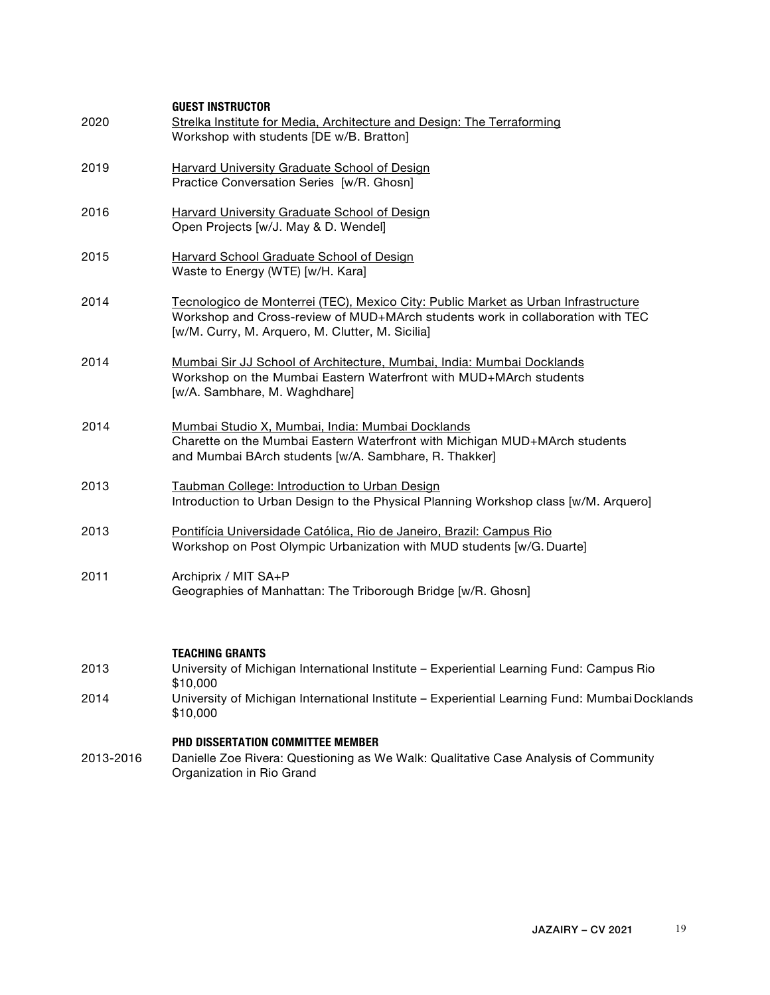| 2020      | <b>GUEST INSTRUCTOR</b><br>Strelka Institute for Media, Architecture and Design: The Terraforming<br>Workshop with students [DE w/B. Bratton]                                                                            |
|-----------|--------------------------------------------------------------------------------------------------------------------------------------------------------------------------------------------------------------------------|
| 2019      | Harvard University Graduate School of Design<br>Practice Conversation Series [w/R. Ghosn]                                                                                                                                |
| 2016      | Harvard University Graduate School of Design<br>Open Projects [w/J. May & D. Wendel]                                                                                                                                     |
| 2015      | Harvard School Graduate School of Design<br>Waste to Energy (WTE) [w/H. Kara]                                                                                                                                            |
| 2014      | Tecnologico de Monterrei (TEC), Mexico City: Public Market as Urban Infrastructure<br>Workshop and Cross-review of MUD+MArch students work in collaboration with TEC<br>[w/M. Curry, M. Arquero, M. Clutter, M. Sicilia] |
| 2014      | Mumbai Sir JJ School of Architecture, Mumbai, India: Mumbai Docklands<br>Workshop on the Mumbai Eastern Waterfront with MUD+MArch students<br>[w/A. Sambhare, M. Waghdhare]                                              |
| 2014      | Mumbai Studio X, Mumbai, India: Mumbai Docklands<br>Charette on the Mumbai Eastern Waterfront with Michigan MUD+MArch students<br>and Mumbai BArch students [w/A. Sambhare, R. Thakker]                                  |
| 2013      | Taubman College: Introduction to Urban Design<br>Introduction to Urban Design to the Physical Planning Workshop class [w/M. Arquero]                                                                                     |
| 2013      | Pontifícia Universidade Católica, Rio de Janeiro, Brazil: Campus Rio<br>Workshop on Post Olympic Urbanization with MUD students [w/G. Duarte]                                                                            |
| 2011      | Archiprix / MIT SA+P<br>Geographies of Manhattan: The Triborough Bridge [w/R. Ghosn]                                                                                                                                     |
|           |                                                                                                                                                                                                                          |
| 2013      | <b>TEACHING GRANTS</b><br>University of Michigan International Institute - Experiential Learning Fund: Campus Rio<br>\$10,000                                                                                            |
| 2014      | University of Michigan International Institute - Experiential Learning Fund: Mumbai Docklands<br>\$10,000                                                                                                                |
| 2013-2016 | PHD DISSERTATION COMMITTEE MEMBER<br>Danielle Zoe Rivera: Questioning as We Walk: Qualitative Case Analysis of Community<br>Organization in Rio Grand                                                                    |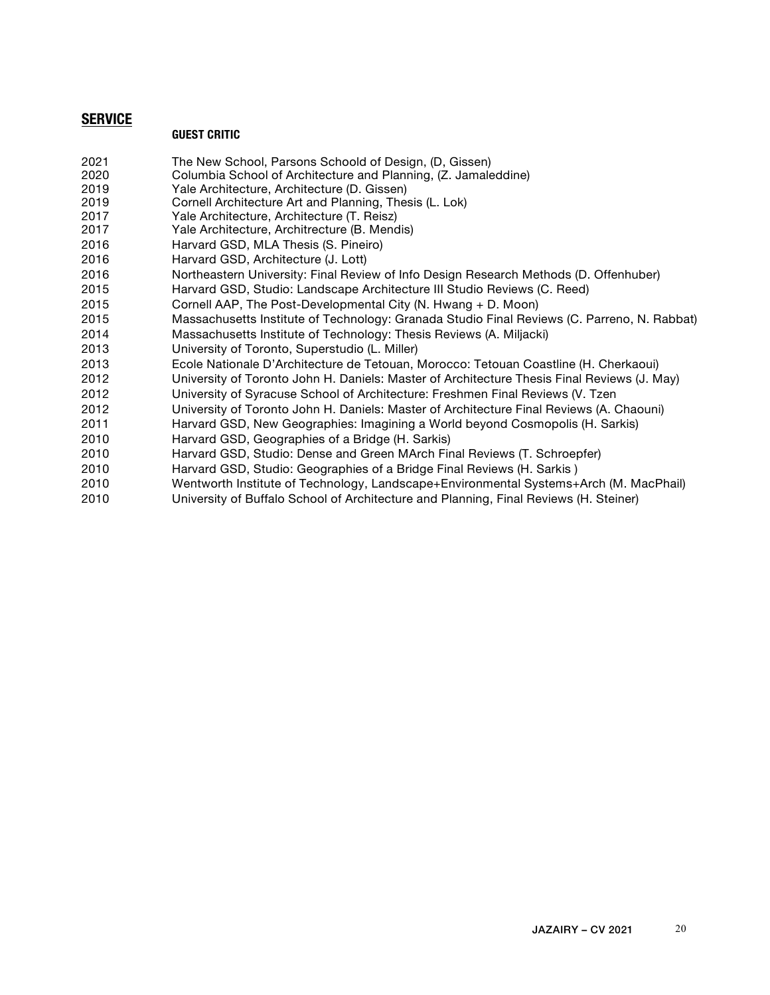## **SERVICE**

### **GUEST CRITIC**

- The New School, Parsons Schoold of Design, (D, Gissen)
- Columbia School of Architecture and Planning, (Z. Jamaleddine)
- Yale Architecture, Architecture (D. Gissen)
- Cornell Architecture Art and Planning, Thesis (L. Lok)
- Yale Architecture, Architecture (T. Reisz)
- Yale Architecture, Architrecture (B. Mendis)
- Harvard GSD, MLA Thesis (S. Pineiro)
- Harvard GSD, Architecture (J. Lott)
- Northeastern University: Final Review of Info Design Research Methods (D. Offenhuber)
- Harvard GSD, Studio: Landscape Architecture III Studio Reviews (C. Reed)
- Cornell AAP, The Post-Developmental City (N. Hwang + D. Moon)
- Massachusetts Institute of Technology: Granada Studio Final Reviews (C. Parreno, N. Rabbat)
- Massachusetts Institute of Technology: Thesis Reviews (A. Miljacki)
- University of Toronto, Superstudio (L. Miller)
- Ecole Nationale D'Architecture de Tetouan, Morocco: Tetouan Coastline (H. Cherkaoui)
- University of Toronto John H. Daniels: Master of Architecture Thesis Final Reviews (J. May)
- University of Syracuse School of Architecture: Freshmen Final Reviews (V. Tzen
- University of Toronto John H. Daniels: Master of Architecture Final Reviews (A. Chaouni)
- Harvard GSD, New Geographies: Imagining a World beyond Cosmopolis (H. Sarkis)
- Harvard GSD, Geographies of a Bridge (H. Sarkis)
- Harvard GSD, Studio: Dense and Green MArch Final Reviews (T. Schroepfer)
- Harvard GSD, Studio: Geographies of a Bridge Final Reviews (H. Sarkis )
- Wentworth Institute of Technology, Landscape+Environmental Systems+Arch (M. MacPhail)
- University of Buffalo School of Architecture and Planning, Final Reviews (H. Steiner)